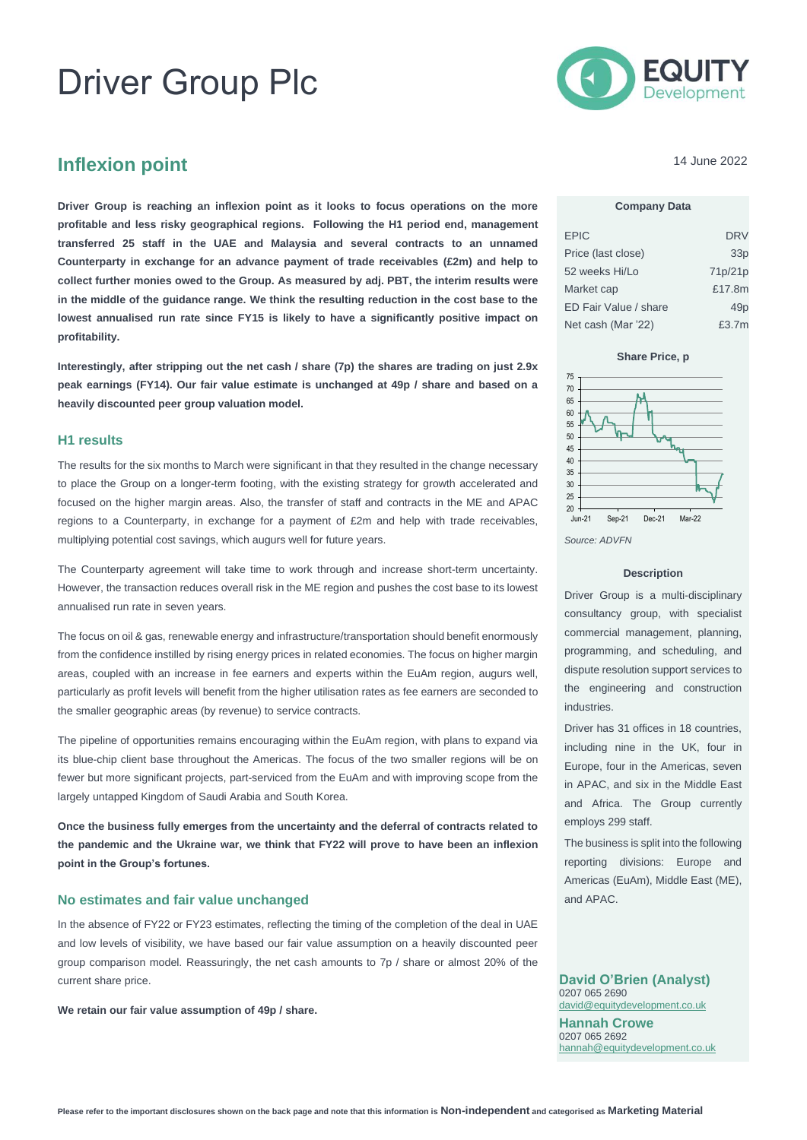# Driver Group Plc



## **Inflexion point**

**Driver Group is reaching an inflexion point as it looks to focus operations on the more profitable and less risky geographical regions. Following the H1 period end, management transferred 25 staff in the UAE and Malaysia and several contracts to an unnamed Counterparty in exchange for an advance payment of trade receivables (£2m) and help to collect further monies owed to the Group. As measured by adj. PBT, the interim results were in the middle of the guidance range. We think the resulting reduction in the cost base to the lowest annualised run rate since FY15 is likely to have a significantly positive impact on profitability.**

**Interestingly, after stripping out the net cash / share (7p) the shares are trading on just 2.9x peak earnings (FY14). Our fair value estimate is unchanged at 49p / share and based on a heavily discounted peer group valuation model.** 

#### **H1 results**

The results for the six months to March were significant in that they resulted in the change necessary to place the Group on a longer-term footing, with the existing strategy for growth accelerated and focused on the higher margin areas. Also, the transfer of staff and contracts in the ME and APAC regions to a Counterparty, in exchange for a payment of £2m and help with trade receivables, multiplying potential cost savings, which augurs well for future years.

The Counterparty agreement will take time to work through and increase short-term uncertainty. However, the transaction reduces overall risk in the ME region and pushes the cost base to its lowest annualised run rate in seven years.

The focus on oil & gas, renewable energy and infrastructure/transportation should benefit enormously from the confidence instilled by rising energy prices in related economies. The focus on higher margin areas, coupled with an increase in fee earners and experts within the EuAm region, augurs well, particularly as profit levels will benefit from the higher utilisation rates as fee earners are seconded to the smaller geographic areas (by revenue) to service contracts.

The pipeline of opportunities remains encouraging within the EuAm region, with plans to expand via its blue-chip client base throughout the Americas. The focus of the two smaller regions will be on fewer but more significant projects, part-serviced from the EuAm and with improving scope from the largely untapped Kingdom of Saudi Arabia and South Korea.

**Once the business fully emerges from the uncertainty and the deferral of contracts related to the pandemic and the Ukraine war, we think that FY22 will prove to have been an inflexion point in the Group's fortunes.** 

#### **No estimates and fair value unchanged**

In the absence of FY22 or FY23 estimates, reflecting the timing of the completion of the deal in UAE and low levels of visibility, we have based our fair value assumption on a heavily discounted peer group comparison model. Reassuringly, the net cash amounts to 7p / share or almost 20% of the current share price.

**We retain our fair value assumption of 49p / share.** 

14 June 2022

#### **Company Data**

| <b>EPIC</b>           | <b>DRV</b> |
|-----------------------|------------|
| Price (last close)    | 33p        |
| 52 weeks Hi/Lo        | 71p/21p    |
| Market cap            | £17.8m     |
| ED Fair Value / share | 49p        |
| Net cash (Mar '22)    | £3.7m      |

**Share Price, p**





#### **Description**

Driver Group is a multi-disciplinary consultancy group, with specialist commercial management, planning, programming, and scheduling, and dispute resolution support services to the engineering and construction industries.

Driver has 31 offices in 18 countries, including nine in the UK, four in Europe, four in the Americas, seven in APAC, and six in the Middle East and Africa. The Group currently employs 299 staff.

The business is split into the following reporting divisions: Europe and Americas (EuAm), Middle East (ME), and APAC.

**David O'Brien (Analyst)** 0207 065 2690 [david@equitydevelopment.co.uk](mailto:david@equitydevelopment.co.uk) **Hannah Crowe** 0207 065 2692 [hannah@equitydevelopment.co.uk](mailto:hannah@equitydevelopment.co.uk)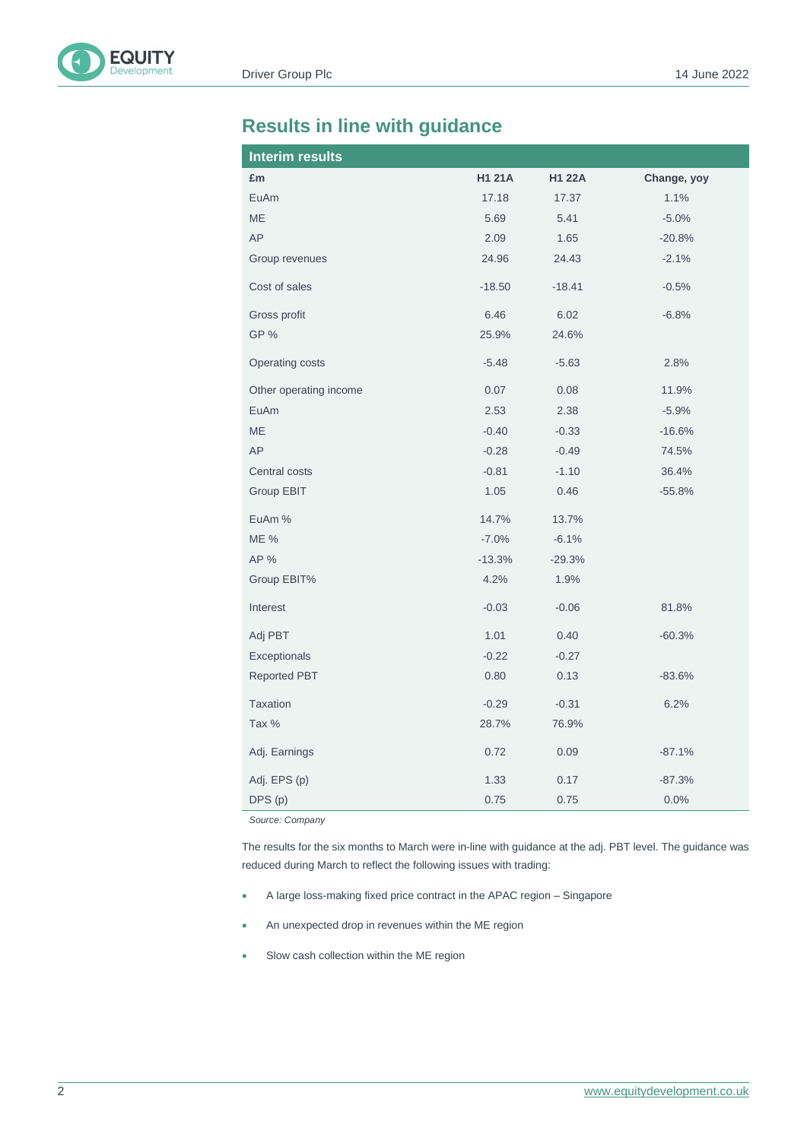# **Results in line with guidance**

| <b>Interim results</b> |               |               |             |
|------------------------|---------------|---------------|-------------|
| £m                     | <b>H1 21A</b> | <b>H1 22A</b> | Change, yoy |
| EuAm                   | 17.18         | 17.37         | 1.1%        |
| ME                     | 5.69          | 5.41          | $-5.0%$     |
| AP                     | 2.09          | 1.65          | $-20.8%$    |
| Group revenues         | 24.96         | 24.43         | $-2.1%$     |
| Cost of sales          | $-18.50$      | $-18.41$      | $-0.5%$     |
| Gross profit           | 6.46          | 6.02          | $-6.8%$     |
| GP%                    | 25.9%         | 24.6%         |             |
| Operating costs        | $-5.48$       | $-5.63$       | 2.8%        |
| Other operating income | 0.07          | 0.08          | 11.9%       |
| EuAm                   | 2.53          | 2.38          | $-5.9%$     |
| <b>ME</b>              | $-0.40$       | $-0.33$       | $-16.6%$    |
| AP                     | $-0.28$       | $-0.49$       | 74.5%       |
| Central costs          | $-0.81$       | $-1.10$       | 36.4%       |
| Group EBIT             | 1.05          | 0.46          | $-55.8%$    |
| EuAm %                 | 14.7%         | 13.7%         |             |
| <b>ME %</b>            | $-7.0%$       | $-6.1%$       |             |
| AP %                   | $-13.3%$      | $-29.3%$      |             |
| Group EBIT%            | 4.2%          | 1.9%          |             |
| Interest               | $-0.03$       | $-0.06$       | 81.8%       |
| Adj PBT                | 1.01          | 0.40          | $-60.3%$    |
| Exceptionals           | $-0.22$       | $-0.27$       |             |
| <b>Reported PBT</b>    | 0.80          | 0.13          | $-83.6%$    |
| Taxation               | $-0.29$       | $-0.31$       | 6.2%        |
| Tax %                  | 28.7%         | 76.9%         |             |
| Adj. Earnings          | 0.72          | 0.09          | $-87.1%$    |
| Adj. EPS (p)           | 1.33          | 0.17          | $-87.3%$    |
| DPS (p)                | 0.75          | 0.75          | 0.0%        |

*Source: Company*

The results for the six months to March were in-line with guidance at the adj. PBT level. The guidance was reduced during March to reflect the following issues with trading:

- A large loss-making fixed price contract in the APAC region Singapore
- An unexpected drop in revenues within the ME region
- Slow cash collection within the ME region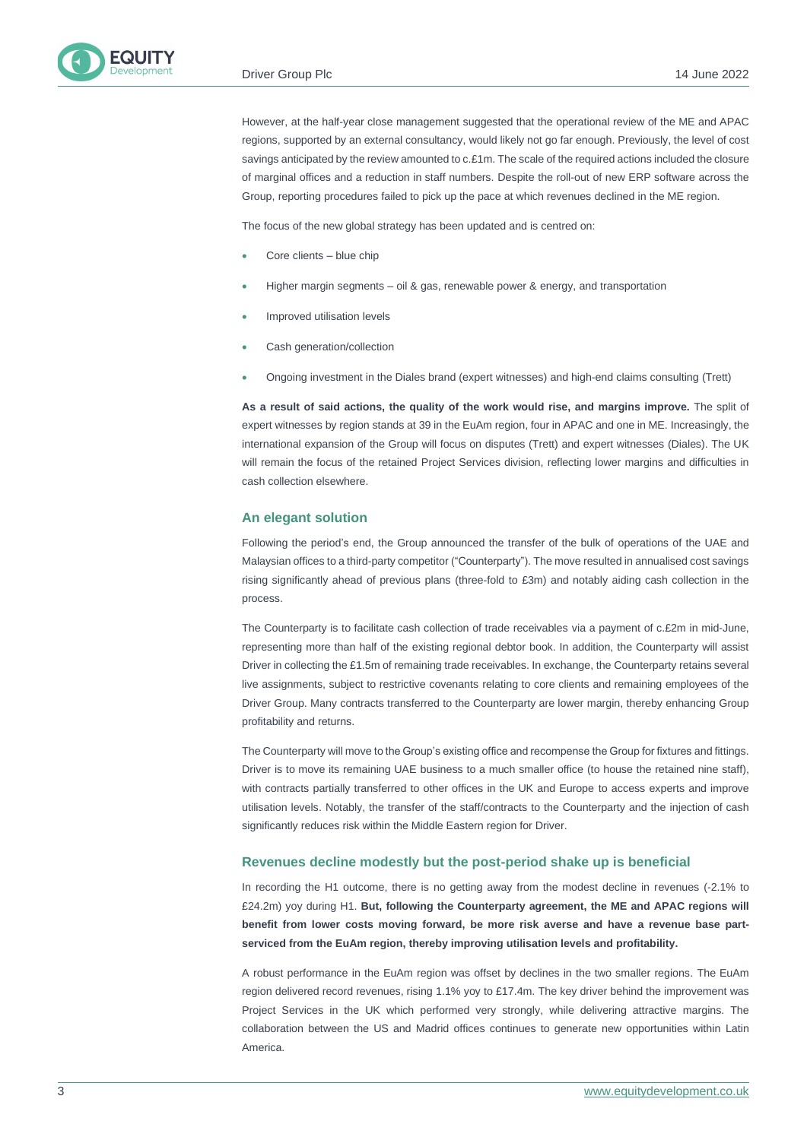However, at the half-year close management suggested that the operational review of the ME and APAC regions, supported by an external consultancy, would likely not go far enough. Previously, the level of cost savings anticipated by the review amounted to c.£1m. The scale of the required actions included the closure of marginal offices and a reduction in staff numbers. Despite the roll-out of new ERP software across the Group, reporting procedures failed to pick up the pace at which revenues declined in the ME region.

The focus of the new global strategy has been updated and is centred on:

- Core clients blue chip
- Higher margin segments oil & gas, renewable power & energy, and transportation
- Improved utilisation levels
- Cash generation/collection
- Ongoing investment in the Diales brand (expert witnesses) and high-end claims consulting (Trett)

**As a result of said actions, the quality of the work would rise, and margins improve.** The split of expert witnesses by region stands at 39 in the EuAm region, four in APAC and one in ME. Increasingly, the international expansion of the Group will focus on disputes (Trett) and expert witnesses (Diales). The UK will remain the focus of the retained Project Services division, reflecting lower margins and difficulties in cash collection elsewhere.

#### **An elegant solution**

Following the period's end, the Group announced the transfer of the bulk of operations of the UAE and Malaysian offices to a third-party competitor ("Counterparty"). The move resulted in annualised cost savings rising significantly ahead of previous plans (three-fold to £3m) and notably aiding cash collection in the process.

The Counterparty is to facilitate cash collection of trade receivables via a payment of c.£2m in mid-June, representing more than half of the existing regional debtor book. In addition, the Counterparty will assist Driver in collecting the £1.5m of remaining trade receivables. In exchange, the Counterparty retains several live assignments, subject to restrictive covenants relating to core clients and remaining employees of the Driver Group. Many contracts transferred to the Counterparty are lower margin, thereby enhancing Group profitability and returns.

The Counterparty will move to the Group's existing office and recompense the Group for fixtures and fittings. Driver is to move its remaining UAE business to a much smaller office (to house the retained nine staff), with contracts partially transferred to other offices in the UK and Europe to access experts and improve utilisation levels. Notably, the transfer of the staff/contracts to the Counterparty and the injection of cash significantly reduces risk within the Middle Eastern region for Driver.

#### **Revenues decline modestly but the post-period shake up is beneficial**

In recording the H1 outcome, there is no getting away from the modest decline in revenues (-2.1% to £24.2m) yoy during H1. **But, following the Counterparty agreement, the ME and APAC regions will benefit from lower costs moving forward, be more risk averse and have a revenue base partserviced from the EuAm region, thereby improving utilisation levels and profitability.**

A robust performance in the EuAm region was offset by declines in the two smaller regions. The EuAm region delivered record revenues, rising 1.1% yoy to £17.4m. The key driver behind the improvement was Project Services in the UK which performed very strongly, while delivering attractive margins. The collaboration between the US and Madrid offices continues to generate new opportunities within Latin America.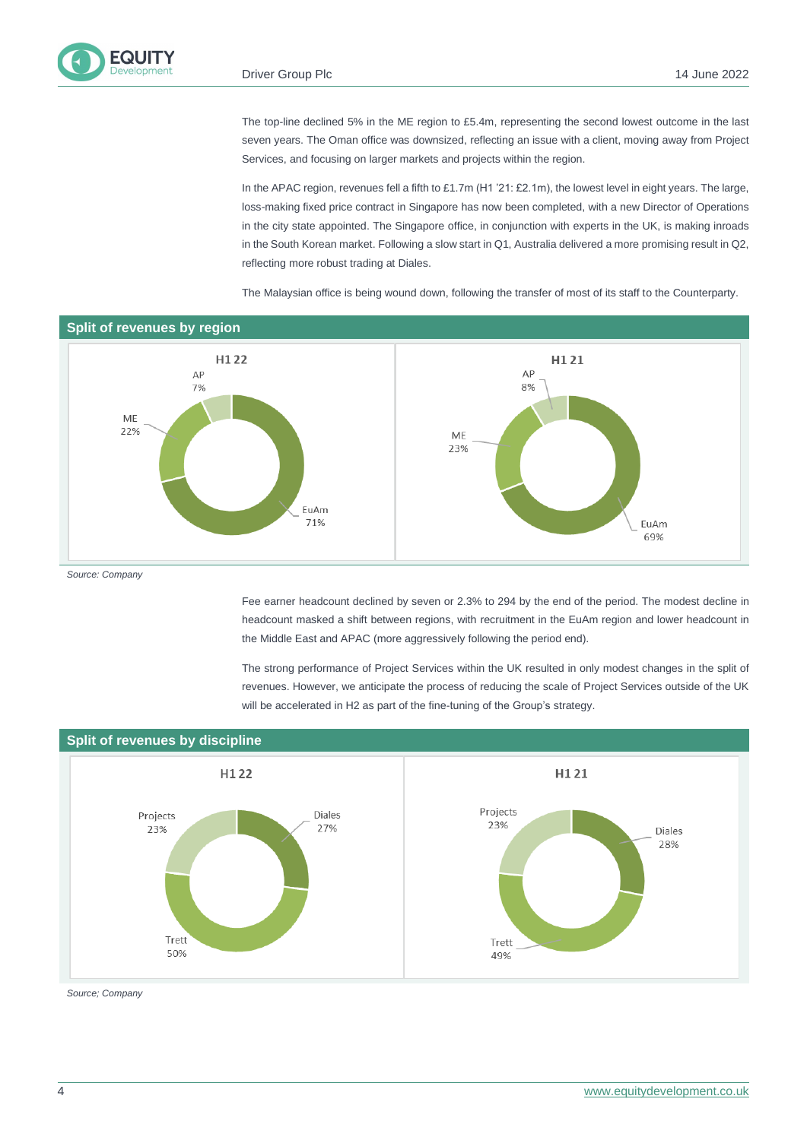The top-line declined 5% in the ME region to £5.4m, representing the second lowest outcome in the last seven years. The Oman office was downsized, reflecting an issue with a client, moving away from Project Services, and focusing on larger markets and projects within the region.

In the APAC region, revenues fell a fifth to £1.7m (H1 '21: £2.1m), the lowest level in eight years. The large, loss-making fixed price contract in Singapore has now been completed, with a new Director of Operations in the city state appointed. The Singapore office, in conjunction with experts in the UK, is making inroads in the South Korean market. Following a slow start in Q1, Australia delivered a more promising result in Q2, reflecting more robust trading at Diales.

The Malaysian office is being wound down, following the transfer of most of its staff to the Counterparty.



*Source: Company*

Fee earner headcount declined by seven or 2.3% to 294 by the end of the period. The modest decline in headcount masked a shift between regions, with recruitment in the EuAm region and lower headcount in the Middle East and APAC (more aggressively following the period end).

The strong performance of Project Services within the UK resulted in only modest changes in the split of revenues. However, we anticipate the process of reducing the scale of Project Services outside of the UK will be accelerated in H2 as part of the fine-tuning of the Group's strategy.



*Source; Company*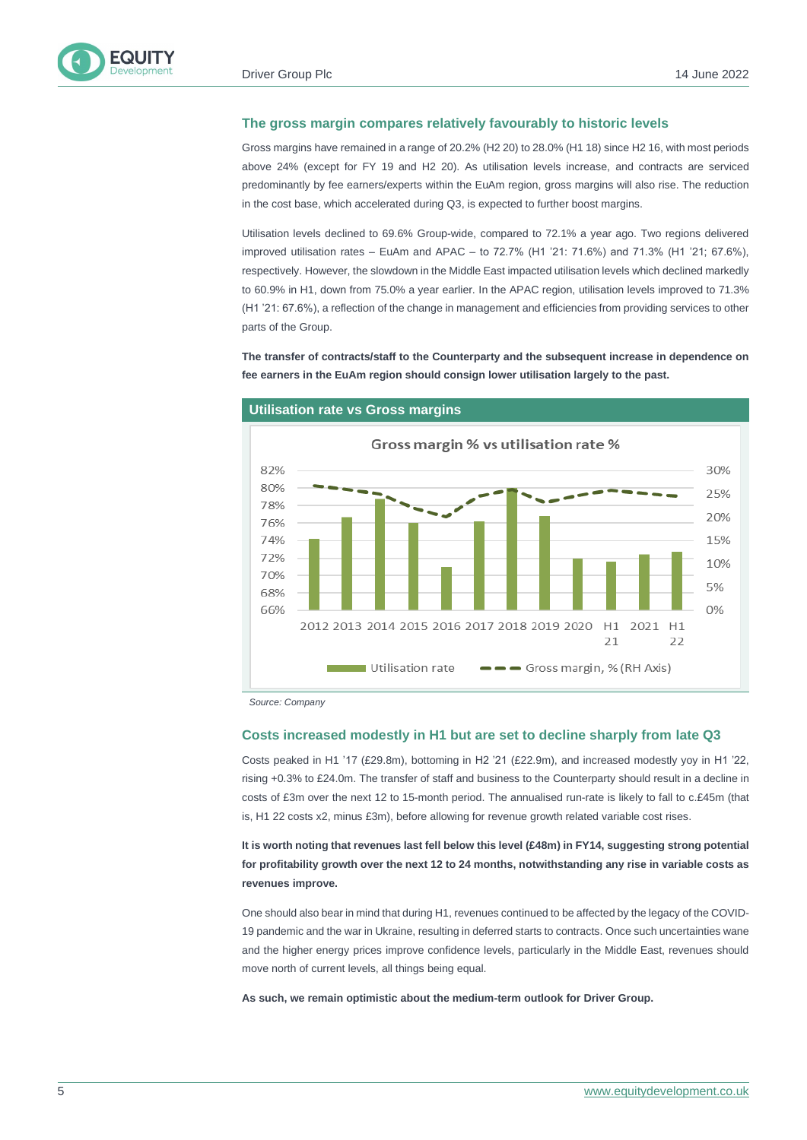

#### **The gross margin compares relatively favourably to historic levels**

Gross margins have remained in a range of 20.2% (H2 20) to 28.0% (H1 18) since H2 16, with most periods above 24% (except for FY 19 and H2 20). As utilisation levels increase, and contracts are serviced predominantly by fee earners/experts within the EuAm region, gross margins will also rise. The reduction in the cost base, which accelerated during Q3, is expected to further boost margins.

Utilisation levels declined to 69.6% Group-wide, compared to 72.1% a year ago. Two regions delivered improved utilisation rates – EuAm and APAC – to 72.7% (H1 '21: 71.6%) and 71.3% (H1 '21; 67.6%), respectively. However, the slowdown in the Middle East impacted utilisation levels which declined markedly to 60.9% in H1, down from 75.0% a year earlier. In the APAC region, utilisation levels improved to 71.3% (H1 '21: 67.6%), a reflection of the change in management and efficiencies from providing services to other parts of the Group.

**The transfer of contracts/staff to the Counterparty and the subsequent increase in dependence on fee earners in the EuAm region should consign lower utilisation largely to the past.** 



#### **Utilisation rate vs Gross margins**

*Source: Company* 

#### **Costs increased modestly in H1 but are set to decline sharply from late Q3**

Costs peaked in H1 '17 (£29.8m), bottoming in H2 '21 (£22.9m), and increased modestly yoy in H1 '22, rising +0.3% to £24.0m. The transfer of staff and business to the Counterparty should result in a decline in costs of £3m over the next 12 to 15-month period. The annualised run-rate is likely to fall to c.£45m (that is, H1 22 costs x2, minus £3m), before allowing for revenue growth related variable cost rises.

**It is worth noting that revenues last fell below this level (£48m) in FY14, suggesting strong potential for profitability growth over the next 12 to 24 months, notwithstanding any rise in variable costs as revenues improve.**

One should also bear in mind that during H1, revenues continued to be affected by the legacy of the COVID-19 pandemic and the war in Ukraine, resulting in deferred starts to contracts. Once such uncertainties wane and the higher energy prices improve confidence levels, particularly in the Middle East, revenues should move north of current levels, all things being equal.

**As such, we remain optimistic about the medium-term outlook for Driver Group.**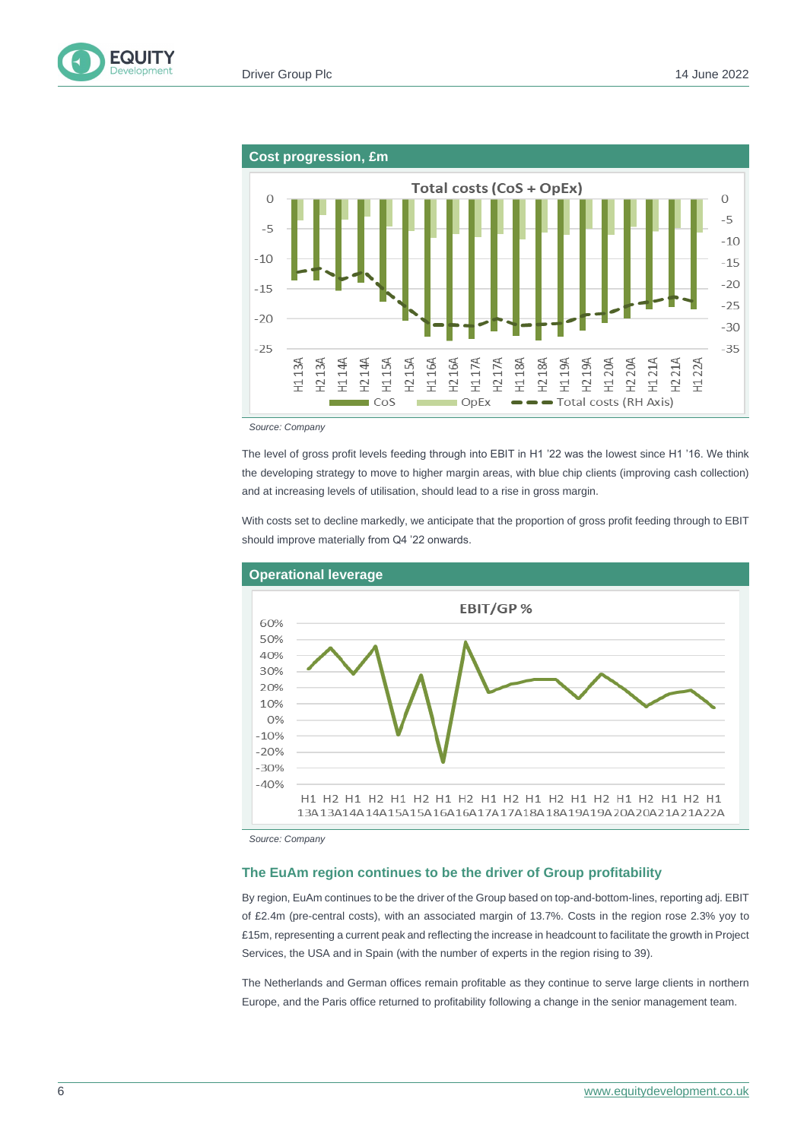



*Source: Company*

The level of gross profit levels feeding through into EBIT in H1 '22 was the lowest since H1 '16. We think the developing strategy to move to higher margin areas, with blue chip clients (improving cash collection) and at increasing levels of utilisation, should lead to a rise in gross margin.

With costs set to decline markedly, we anticipate that the proportion of gross profit feeding through to EBIT should improve materially from Q4 '22 onwards.



*Source: Company*

#### **The EuAm region continues to be the driver of Group profitability**

By region, EuAm continues to be the driver of the Group based on top-and-bottom-lines, reporting adj. EBIT of £2.4m (pre-central costs), with an associated margin of 13.7%. Costs in the region rose 2.3% yoy to £15m, representing a current peak and reflecting the increase in headcount to facilitate the growth in Project Services, the USA and in Spain (with the number of experts in the region rising to 39).

The Netherlands and German offices remain profitable as they continue to serve large clients in northern Europe, and the Paris office returned to profitability following a change in the senior management team.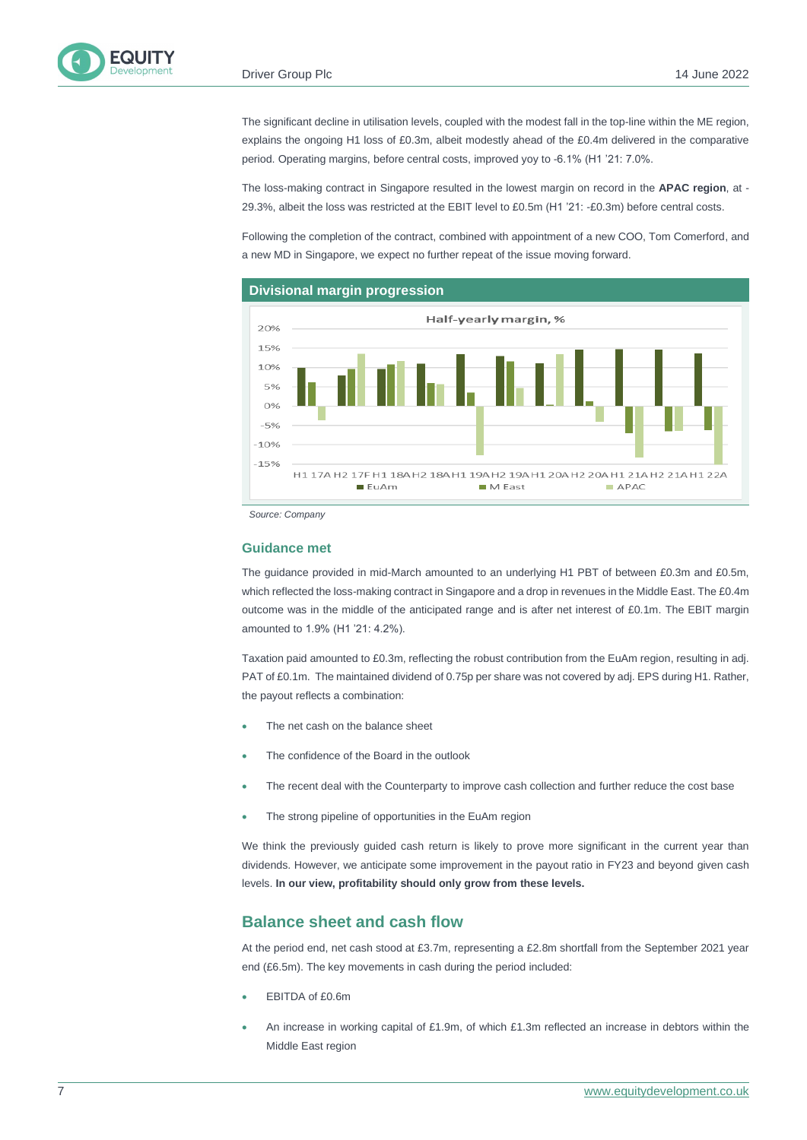The significant decline in utilisation levels, coupled with the modest fall in the top-line within the ME region, explains the ongoing H1 loss of £0.3m, albeit modestly ahead of the £0.4m delivered in the comparative period. Operating margins, before central costs, improved yoy to -6.1% (H1 '21: 7.0%.

The loss-making contract in Singapore resulted in the lowest margin on record in the **APAC region**, at - 29.3%, albeit the loss was restricted at the EBIT level to £0.5m (H1 '21: -£0.3m) before central costs.

Following the completion of the contract, combined with appointment of a new COO, Tom Comerford, and a new MD in Singapore, we expect no further repeat of the issue moving forward.



#### **Divisional margin progression**

*Source: Company*

#### **Guidance met**

The guidance provided in mid-March amounted to an underlying H1 PBT of between £0.3m and £0.5m, which reflected the loss-making contract in Singapore and a drop in revenues in the Middle East. The £0.4m outcome was in the middle of the anticipated range and is after net interest of £0.1m. The EBIT margin amounted to 1.9% (H1 '21: 4.2%).

Taxation paid amounted to £0.3m, reflecting the robust contribution from the EuAm region, resulting in adj. PAT of £0.1m. The maintained dividend of 0.75p per share was not covered by adj. EPS during H1. Rather, the payout reflects a combination:

- The net cash on the balance sheet
- The confidence of the Board in the outlook
- The recent deal with the Counterparty to improve cash collection and further reduce the cost base
- The strong pipeline of opportunities in the EuAm region

We think the previously guided cash return is likely to prove more significant in the current year than dividends. However, we anticipate some improvement in the payout ratio in FY23 and beyond given cash levels. **In our view, profitability should only grow from these levels.**

#### **Balance sheet and cash flow**

At the period end, net cash stood at £3.7m, representing a £2.8m shortfall from the September 2021 year end (£6.5m). The key movements in cash during the period included:

- EBITDA of £0.6m
- An increase in working capital of £1.9m, of which £1.3m reflected an increase in debtors within the Middle East region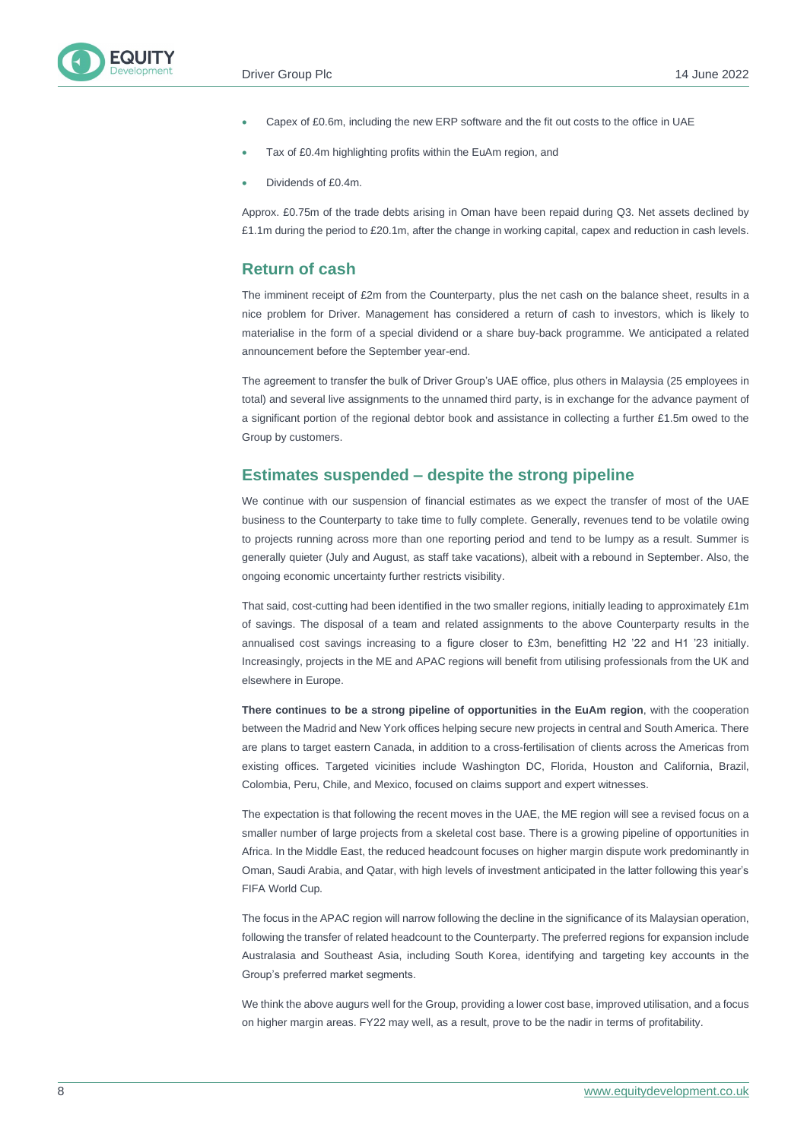- Capex of £0.6m, including the new ERP software and the fit out costs to the office in UAE
- Tax of £0.4m highlighting profits within the EuAm region, and
- Dividends of £0.4m.

Approx. £0.75m of the trade debts arising in Oman have been repaid during Q3. Net assets declined by £1.1m during the period to £20.1m, after the change in working capital, capex and reduction in cash levels.

#### **Return of cash**

The imminent receipt of £2m from the Counterparty, plus the net cash on the balance sheet, results in a nice problem for Driver. Management has considered a return of cash to investors, which is likely to materialise in the form of a special dividend or a share buy-back programme. We anticipated a related announcement before the September year-end.

The agreement to transfer the bulk of Driver Group's UAE office, plus others in Malaysia (25 employees in total) and several live assignments to the unnamed third party, is in exchange for the advance payment of a significant portion of the regional debtor book and assistance in collecting a further £1.5m owed to the Group by customers.

#### **Estimates suspended – despite the strong pipeline**

We continue with our suspension of financial estimates as we expect the transfer of most of the UAE business to the Counterparty to take time to fully complete. Generally, revenues tend to be volatile owing to projects running across more than one reporting period and tend to be lumpy as a result. Summer is generally quieter (July and August, as staff take vacations), albeit with a rebound in September. Also, the ongoing economic uncertainty further restricts visibility.

That said, cost-cutting had been identified in the two smaller regions, initially leading to approximately £1m of savings. The disposal of a team and related assignments to the above Counterparty results in the annualised cost savings increasing to a figure closer to £3m, benefitting H2 '22 and H1 '23 initially. Increasingly, projects in the ME and APAC regions will benefit from utilising professionals from the UK and elsewhere in Europe.

**There continues to be a strong pipeline of opportunities in the EuAm region**, with the cooperation between the Madrid and New York offices helping secure new projects in central and South America. There are plans to target eastern Canada, in addition to a cross-fertilisation of clients across the Americas from existing offices. Targeted vicinities include Washington DC, Florida, Houston and California, Brazil, Colombia, Peru, Chile, and Mexico, focused on claims support and expert witnesses.

The expectation is that following the recent moves in the UAE, the ME region will see a revised focus on a smaller number of large projects from a skeletal cost base. There is a growing pipeline of opportunities in Africa. In the Middle East, the reduced headcount focuses on higher margin dispute work predominantly in Oman, Saudi Arabia, and Qatar, with high levels of investment anticipated in the latter following this year's FIFA World Cup.

The focus in the APAC region will narrow following the decline in the significance of its Malaysian operation, following the transfer of related headcount to the Counterparty. The preferred regions for expansion include Australasia and Southeast Asia, including South Korea, identifying and targeting key accounts in the Group's preferred market segments.

We think the above augurs well for the Group, providing a lower cost base, improved utilisation, and a focus on higher margin areas. FY22 may well, as a result, prove to be the nadir in terms of profitability.